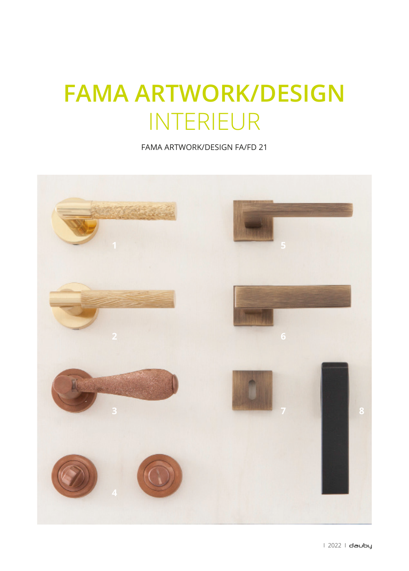## **FAMA ARTWORK/DESIGN** INTERIEUR

FAMA ARTWORK/DESIGN FA/FD 21

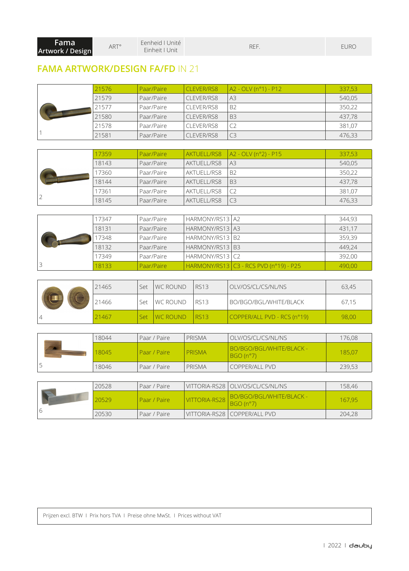| <b>Fama</b>      | <b>ART<sup>°</sup></b> | Eenheid I Unité | REF | <b>EURC</b> |
|------------------|------------------------|-----------------|-----|-------------|
| Artwork / Design |                        | Einheit   Unit  |     |             |

## **FAMA ARTWORK/DESIGN FA/FD** IN 21

|  | 21576 | Paar/Paire | <b>CLEVER/RS8</b> | A2 - OLV (n°1) - P12 | 337,53 |
|--|-------|------------|-------------------|----------------------|--------|
|  | 21579 | Paar/Paire | CLEVER/RS8        | A <sub>3</sub>       | 540,05 |
|  | 21577 | Paar/Paire | CLEVER/RS8        | <b>B2</b>            | 350,22 |
|  | 21580 | Paar/Paire | CLEVER/RS8        | <b>B3</b>            | 437,78 |
|  | 21578 | Paar/Paire | CLEVER/RS8        |                      | 381,07 |
|  | 21581 | Paar/Paire | CLEVER/RS8        | C <sub>3</sub>       | 476,33 |

|  | 17359 | Paar/Paire |             | $AKTUELL/RS8$ $ A2 - OLV(n°2) - P15$ | 337,53 |
|--|-------|------------|-------------|--------------------------------------|--------|
|  | 18143 | Paar/Paire | AKTUELL/RS8 | A <sub>3</sub>                       | 540,05 |
|  | 7360  | Paar/Paire | AKTUELL/RS8 | <b>B2</b>                            | 350,22 |
|  | 18144 | Paar/Paire | AKTUELL/RS8 | <b>B3</b>                            | 437,78 |
|  | 17361 | Paar/Paire | AKTUELL/RS8 |                                      | 381.07 |
|  | 18145 | Paar/Paire | AKTUELL/RS8 |                                      | 476,33 |

|  | 17347 | Paar/Paire   | HARMONY/RS13 A2   |                                        | 344.93 |
|--|-------|--------------|-------------------|----------------------------------------|--------|
|  | 18131 | l Paar/Paire | HARMONY/RS13 A3   |                                        | 431,17 |
|  | 7348  | Paar/Paire   | HARMONY/RS13 B2   |                                        | 359,39 |
|  | 18132 | l Paar/Paire | HARMONY/RS13   B3 |                                        | 449,24 |
|  | 17349 | Paar/Paire   | HARMONY/RS13 C2   |                                        | 392,00 |
|  | 18133 | Paar/Paire   |                   | HARMONY/RS13 C3 - RCS PVD (n°19) - P25 | 490,00 |

| 21465 | Set | <b>IWC ROUND</b> | RS <sub>13</sub> | OLV/OS/CL/CS/NL/NS          | 63,45 |
|-------|-----|------------------|------------------|-----------------------------|-------|
| 21466 | Set | I WC ROUND       | RS13             | BO/BGO/BGL/WHITE/BLACK      | 67,15 |
| 21467 | Set | <b>WC ROUND</b>  | <b>RS13</b>      | COPPER/ALL PVD - RCS (n°19) | 98,00 |

|  | 18044 | Paar / Paire   | PRISMA | OLV/OS/CL/CS/NL/NS                   | 176,08 |
|--|-------|----------------|--------|--------------------------------------|--------|
|  | 18045 | l Paar / Paire | PRISMA | BO/BGO/BGL/WHITE/BLACK -<br>BGO(n°7) | 185,07 |
|  | 18046 | l Paar / Paire | PRISMA | <b>COPPER/ALL PVD</b>                | 239,53 |

|  | 20528 | Paar / Paire   |               | VITTORIA-RS28   OLV/OS/CL/CS/NL/NS            | 158,46 |
|--|-------|----------------|---------------|-----------------------------------------------|--------|
|  | 20529 | l Paar / Paire | VITTORIA-RS28 | BO/BGO/BGL/WHITE/BLACK -<br>$BGO(n^{\circ}7)$ | 167.95 |
|  | 20530 | l Paar / Paire |               | VITTORIA-RS28   COPPER/ALL PVD                | 204,28 |